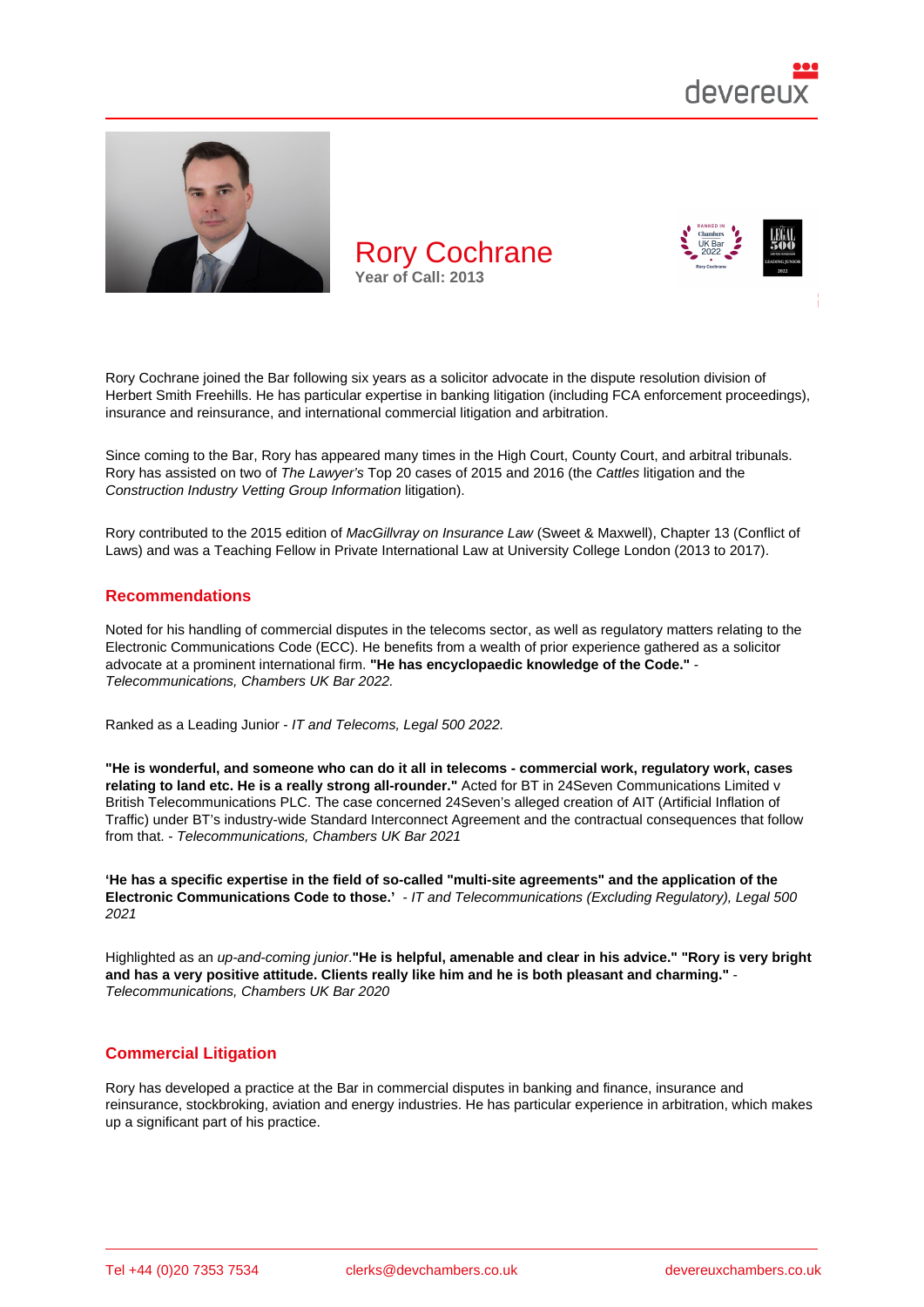

Rory Cochrane joined the Bar following six years as a solicitor advocate in the dispute resolution division of Herbert Smith Freehills. He has particular expertise in banking litigation (including FCA enforcement proceedings), insurance and reinsurance, and international commercial litigation and arbitration.

Since coming to the Bar, Rory has appeared many times in the High Court, County Court, and arbitral tribunals. Rory has assisted on two of The Lawyer's Top 20 cases of 2015 and 2016 (the Cattles litigation and the Construction Industry Vetting Group Information litigation).

Rory contributed to the 2015 edition of MacGillvray on Insurance Law (Sweet & Maxwell), Chapter 13 (Conflict of Laws) and was a Teaching Fellow in Private International Law at University College London (2013 to 2017).

#### Recommendations

Noted for his handling of commercial disputes in the telecoms sector, as well as regulatory matters relating to the Electronic Communications Code (ECC). He benefits from a wealth of prior experience gathered as a solicitor advocate at a prominent international firm. "He has encyclopaedic knowledge of the Code." Telecommunications, Chambers UK Bar 2022.

Ranked as a Leading Junior - IT and Telecoms, Legal 500 2022.

"He is wonderful, and someone who can do it all in telecoms - commercial work, regulatory work, cases relating to land etc. He is a really strong all-rounder." Acted for BT in 24Seven Communications Limited v British Telecommunications PLC. The case concerned 24Seven's alleged creation of AIT (Artificial Inflation of Traffic) under BT's industry-wide Standard Interconnect Agreement and the contractual consequences that follow from that. - Telecommunications, Chambers UK Bar 2021

'He has a specific expertise in the field of so-called "multi-site agreements" and the application of the Electronic Communications Code to those.' - IT and Telecommunications (Excluding Regulatory), Legal 500 2021

Highlighted as an up-and-coming junior."He is helpful, amenable and clear in his advice." "Rory is very bright and has a very positive attitude. Clients really like him and he is both pleasant and charming." Telecommunications, Chambers UK Bar 2020

#### Commercial Litigation

Rory has developed a practice at the Bar in commercial disputes in banking and finance, insurance and reinsurance, stockbroking, aviation and energy industries. He has particular experience in arbitration, which makes up a significant part of his practice.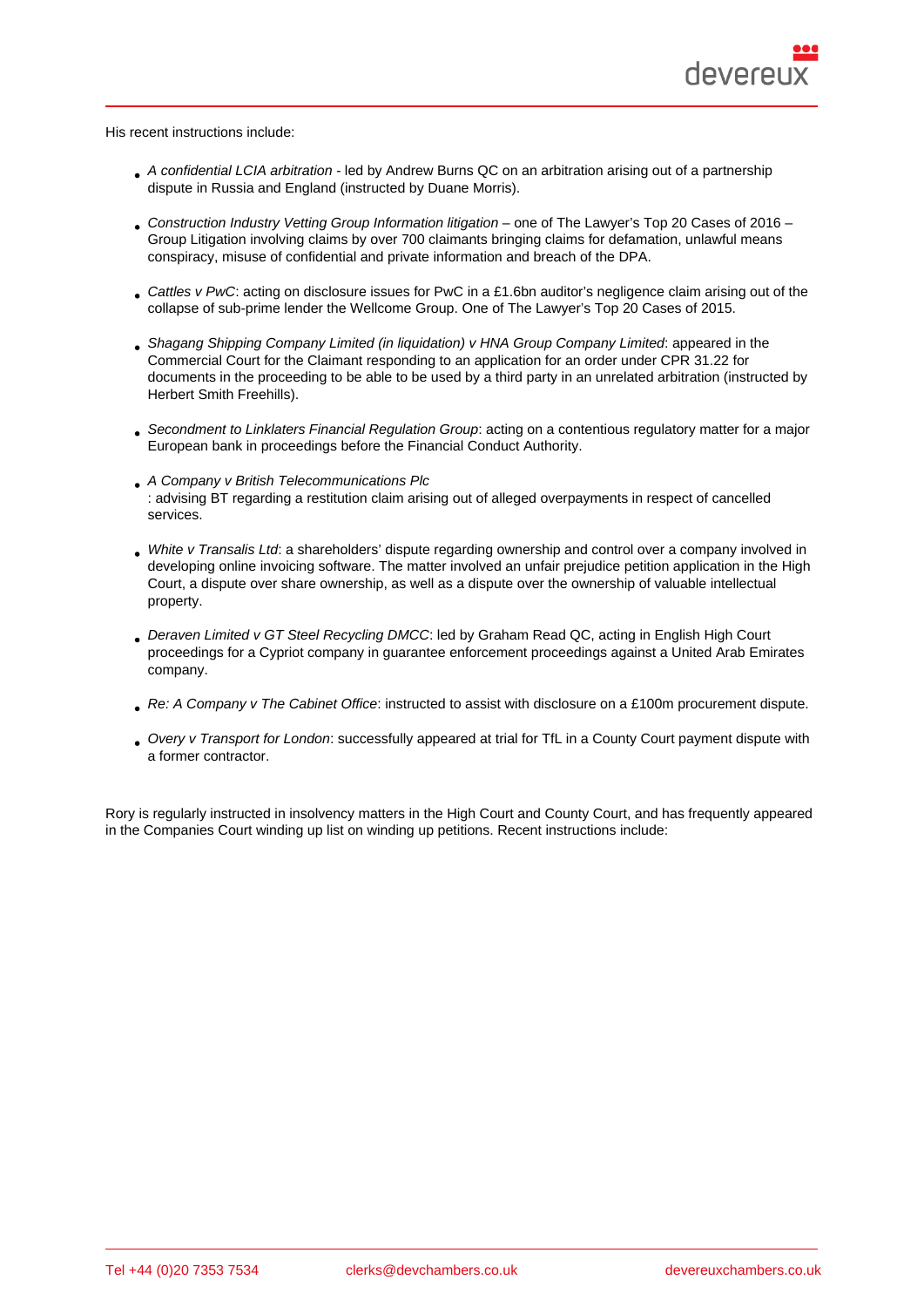His recent instructions include:

- A confidential LCIA arbitration led by Andrew Burns QC on an arbitration arising out of a partnership dispute in Russia and England (instructed by Duane Morris).
- Construction Industry Vetting Group Information litigation one of The Lawyer's Top 20 Cases of 2016 Group Litigation involving claims by over 700 claimants bringing claims for defamation, unlawful means conspiracy, misuse of confidential and private information and breach of the DPA.
- Cattles v PwC: acting on disclosure issues for PwC in a £1.6bn auditor's negligence claim arising out of the collapse of sub-prime lender the Wellcome Group. One of The Lawyer's Top 20 Cases of 2015.
- Shagang Shipping Company Limited (in liquidation) v HNA Group Company Limited: appeared in the Commercial Court for the Claimant responding to an application for an order under CPR 31.22 for documents in the proceeding to be able to be used by a third party in an unrelated arbitration (instructed by Herbert Smith Freehills).
- Secondment to Linklaters Financial Regulation Group: acting on a contentious regulatory matter for a major European bank in proceedings before the Financial Conduct Authority.
- A Company v British Telecommunications Plc : advising BT regarding a restitution claim arising out of alleged overpayments in respect of cancelled services.
- White v Transalis Ltd: a shareholders' dispute regarding ownership and control over a company involved in developing online invoicing software. The matter involved an unfair prejudice petition application in the High Court, a dispute over share ownership, as well as a dispute over the ownership of valuable intellectual property.
- Deraven Limited v GT Steel Recycling DMCC: led by Graham Read QC, acting in English High Court proceedings for a Cypriot company in guarantee enforcement proceedings against a United Arab Emirates company.
- Re: A Company v The Cabinet Office: instructed to assist with disclosure on a £100m procurement dispute.
- Overy v Transport for London: successfully appeared at trial for TfL in a County Court payment dispute with a former contractor.

Rory is regularly instructed in insolvency matters in the High Court and County Court, and has frequently appeared in the Companies Court winding up list on winding up petitions. Recent instructions include: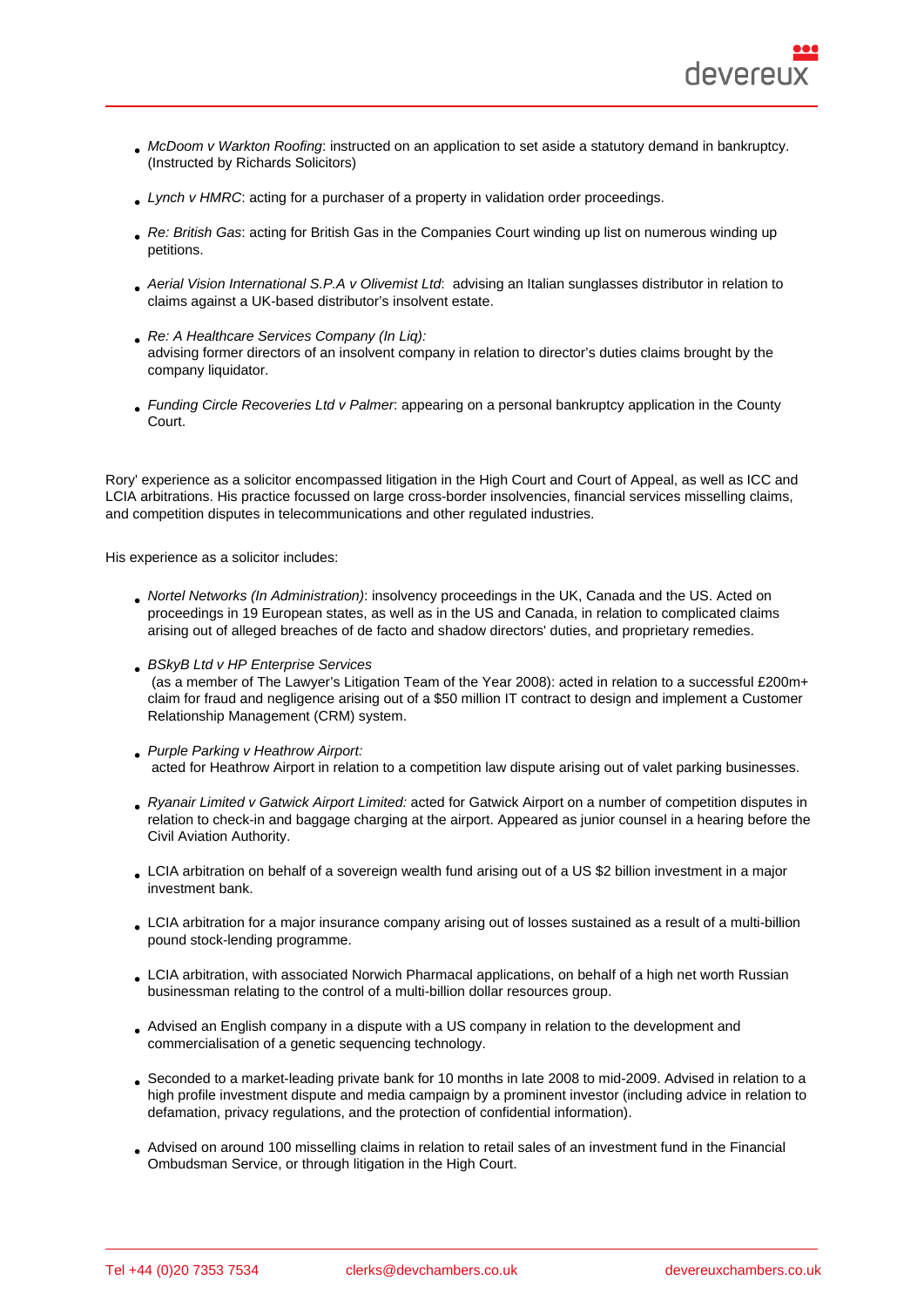- McDoom v Warkton Roofing: instructed on an application to set aside a statutory demand in bankruptcy. (Instructed by Richards Solicitors)
- Lynch v HMRC: acting for a purchaser of a property in validation order proceedings.
- Re: British Gas: acting for British Gas in the Companies Court winding up list on numerous winding up petitions.
- Aerial Vision International S.P.A v Olivemist Ltd: advising an Italian sunglasses distributor in relation to claims against a UK-based distributor's insolvent estate.
- Re: A Healthcare Services Company (In Liq): advising former directors of an insolvent company in relation to director's duties claims brought by the company liquidator.
- Funding Circle Recoveries Ltd v Palmer: appearing on a personal bankruptcy application in the County Court.

Rory' experience as a solicitor encompassed litigation in the High Court and Court of Appeal, as well as ICC and LCIA arbitrations. His practice focussed on large cross-border insolvencies, financial services misselling claims, and competition disputes in telecommunications and other regulated industries.

His experience as a solicitor includes:

- Nortel Networks (In Administration): insolvency proceedings in the UK, Canada and the US. Acted on proceedings in 19 European states, as well as in the US and Canada, in relation to complicated claims arising out of alleged breaches of de facto and shadow directors' duties, and proprietary remedies.
- **BSkyB Ltd v HP Enterprise Services**
- (as a member of The Lawyer's Litigation Team of the Year 2008): acted in relation to a successful £200m+ claim for fraud and negligence arising out of a \$50 million IT contract to design and implement a Customer Relationship Management (CRM) system.
- Purple Parking v Heathrow Airport: acted for Heathrow Airport in relation to a competition law dispute arising out of valet parking businesses.
- Ryanair Limited v Gatwick Airport Limited: acted for Gatwick Airport on a number of competition disputes in relation to check-in and baggage charging at the airport. Appeared as junior counsel in a hearing before the Civil Aviation Authority.
- LCIA arbitration on behalf of a sovereign wealth fund arising out of a US \$2 billion investment in a major investment bank.
- LCIA arbitration for a major insurance company arising out of losses sustained as a result of a multi-billion pound stock-lending programme.
- LCIA arbitration, with associated Norwich Pharmacal applications, on behalf of a high net worth Russian businessman relating to the control of a multi-billion dollar resources group.
- Advised an English company in a dispute with a US company in relation to the development and commercialisation of a genetic sequencing technology.
- Seconded to a market-leading private bank for 10 months in late 2008 to mid-2009. Advised in relation to a high profile investment dispute and media campaign by a prominent investor (including advice in relation to defamation, privacy regulations, and the protection of confidential information).
- Advised on around 100 misselling claims in relation to retail sales of an investment fund in the Financial Ombudsman Service, or through litigation in the High Court.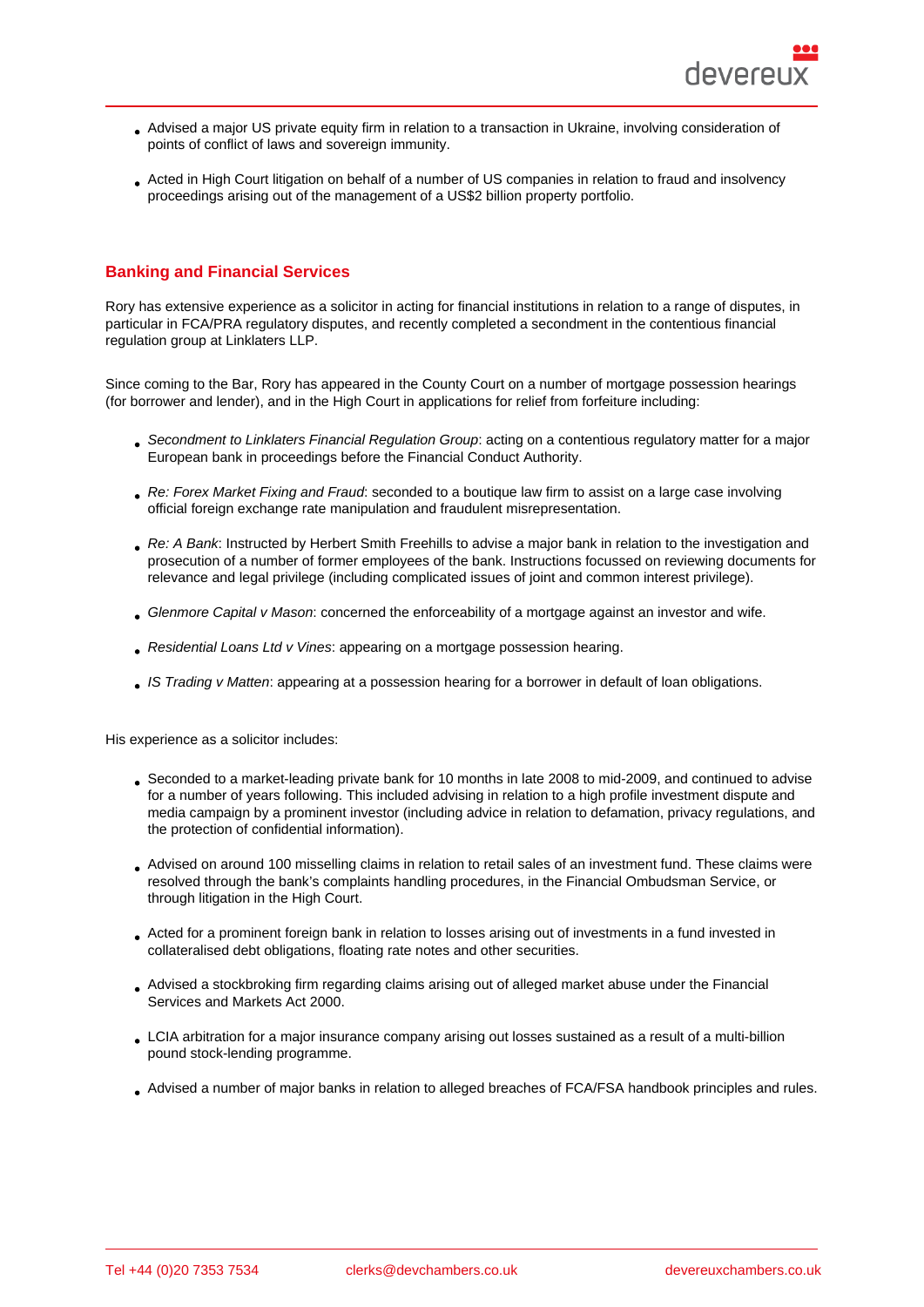- Advised a major US private equity firm in relation to a transaction in Ukraine, involving consideration of points of conflict of laws and sovereign immunity.
- Acted in High Court litigation on behalf of a number of US companies in relation to fraud and insolvency proceedings arising out of the management of a US\$2 billion property portfolio.

#### Banking and Financial Services

Rory has extensive experience as a solicitor in acting for financial institutions in relation to a range of disputes, in particular in FCA/PRA regulatory disputes, and recently completed a secondment in the contentious financial regulation group at Linklaters LLP.

Since coming to the Bar, Rory has appeared in the County Court on a number of mortgage possession hearings (for borrower and lender), and in the High Court in applications for relief from forfeiture including:

- Secondment to Linklaters Financial Regulation Group: acting on a contentious regulatory matter for a major European bank in proceedings before the Financial Conduct Authority.
- Re: Forex Market Fixing and Fraud: seconded to a boutique law firm to assist on a large case involving official foreign exchange rate manipulation and fraudulent misrepresentation.
- Re: A Bank: Instructed by Herbert Smith Freehills to advise a major bank in relation to the investigation and prosecution of a number of former employees of the bank. Instructions focussed on reviewing documents for relevance and legal privilege (including complicated issues of joint and common interest privilege).
- Glenmore Capital v Mason: concerned the enforceability of a mortgage against an investor and wife.
- Residential Loans Ltd v Vines: appearing on a mortgage possession hearing.
- IS Trading v Matten: appearing at a possession hearing for a borrower in default of loan obligations.

His experience as a solicitor includes:

- Seconded to a market-leading private bank for 10 months in late 2008 to mid-2009, and continued to advise for a number of years following. This included advising in relation to a high profile investment dispute and media campaign by a prominent investor (including advice in relation to defamation, privacy regulations, and the protection of confidential information).
- Advised on around 100 misselling claims in relation to retail sales of an investment fund. These claims were resolved through the bank's complaints handling procedures, in the Financial Ombudsman Service, or through litigation in the High Court.
- Acted for a prominent foreign bank in relation to losses arising out of investments in a fund invested in collateralised debt obligations, floating rate notes and other securities.
- Advised a stockbroking firm regarding claims arising out of alleged market abuse under the Financial Services and Markets Act 2000.
- LCIA arbitration for a major insurance company arising out losses sustained as a result of a multi-billion pound stock-lending programme.
- Advised a number of major banks in relation to alleged breaches of FCA/FSA handbook principles and rules.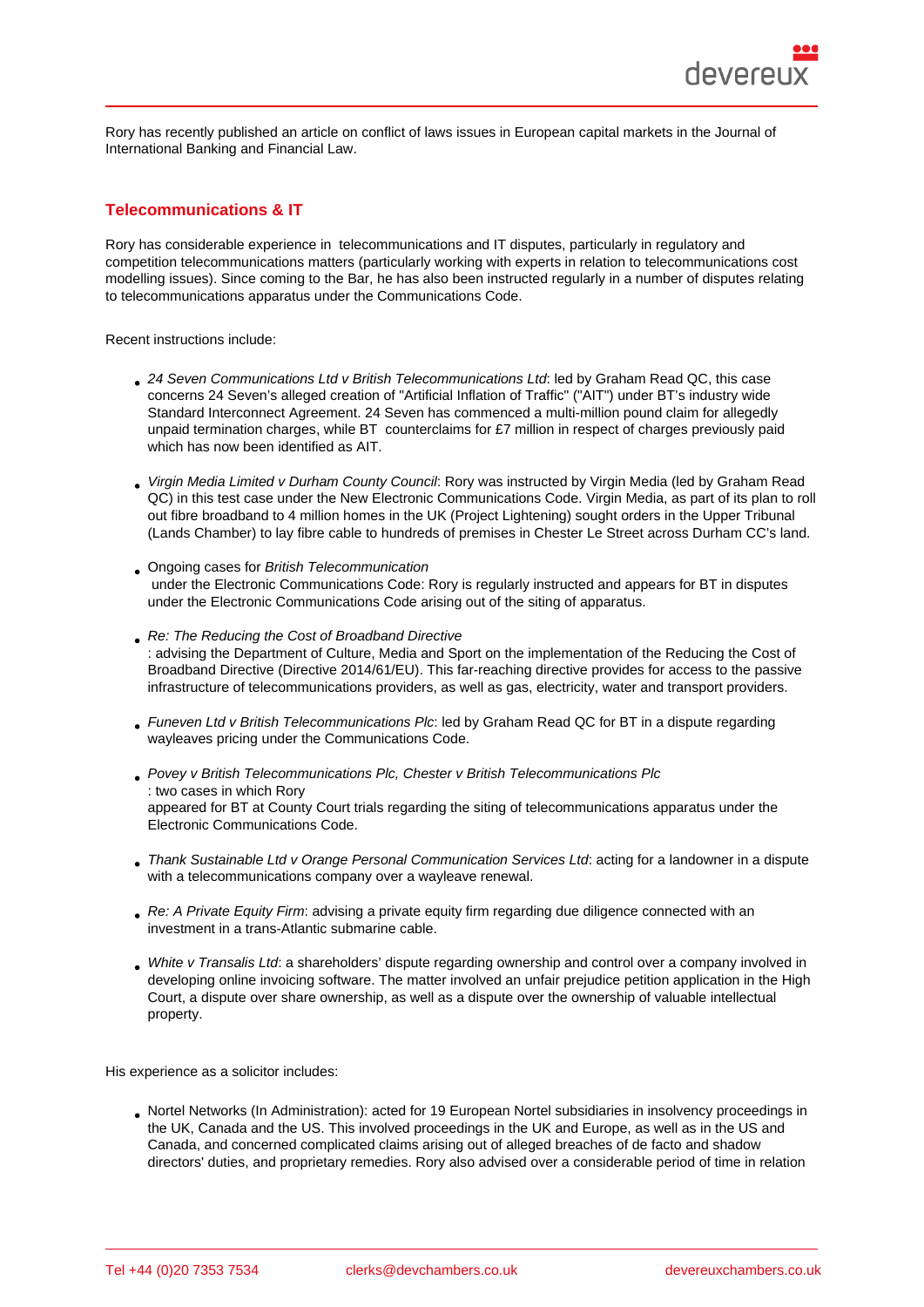Rory has recently published an article on conflict of laws issues in European capital markets in the Journal of International Banking and Financial Law.

## Telecommunications & IT

Rory has considerable experience in telecommunications and IT disputes, particularly in regulatory and competition telecommunications matters (particularly working with experts in relation to telecommunications cost modelling issues). Since coming to the Bar, he has also been instructed regularly in a number of disputes relating to telecommunications apparatus under the Communications Code.

Recent instructions include:

- 24 Seven Communications Ltd v British Telecommunications Ltd: led by Graham Read QC, this case concerns 24 Seven's alleged creation of "Artificial Inflation of Traffic" ("AIT") under BT's industry wide Standard Interconnect Agreement. 24 Seven has commenced a multi-million pound claim for allegedly unpaid termination charges, while BT counterclaims for £7 million in respect of charges previously paid which has now been identified as AIT.
- Virgin Media Limited v Durham County Council: Rory was instructed by Virgin Media (led by Graham Read QC) in this test case under the New Electronic Communications Code. Virgin Media, as part of its plan to roll out fibre broadband to 4 million homes in the UK (Project Lightening) sought orders in the Upper Tribunal (Lands Chamber) to lay fibre cable to hundreds of premises in Chester Le Street across Durham CC's land.
- Ongoing cases for British Telecommunication under the Electronic Communications Code: Rory is regularly instructed and appears for BT in disputes under the Electronic Communications Code arising out of the siting of apparatus.
- Re: The Reducing the Cost of Broadband Directive : advising the Department of Culture, Media and Sport on the implementation of the Reducing the Cost of Broadband Directive (Directive 2014/61/EU). This far-reaching directive provides for access to the passive infrastructure of telecommunications providers, as well as gas, electricity, water and transport providers.
- Funeven Ltd v British Telecommunications Plc: led by Graham Read QC for BT in a dispute regarding wayleaves pricing under the Communications Code.
- Povey v British Telecommunications Plc, Chester v British Telecommunications Plc : two cases in which Rory appeared for BT at County Court trials regarding the siting of telecommunications apparatus under the Electronic Communications Code.
- Thank Sustainable Ltd v Orange Personal Communication Services Ltd: acting for a landowner in a dispute with a telecommunications company over a wayleave renewal.
- Re: A Private Equity Firm: advising a private equity firm regarding due diligence connected with an investment in a trans-Atlantic submarine cable.
- White v Transalis Ltd: a shareholders' dispute regarding ownership and control over a company involved in developing online invoicing software. The matter involved an unfair prejudice petition application in the High Court, a dispute over share ownership, as well as a dispute over the ownership of valuable intellectual property.

His experience as a solicitor includes:

Nortel Networks (In Administration): acted for 19 European Nortel subsidiaries in insolvency proceedings in the UK, Canada and the US. This involved proceedings in the UK and Europe, as well as in the US and Canada, and concerned complicated claims arising out of alleged breaches of de facto and shadow directors' duties, and proprietary remedies. Rory also advised over a considerable period of time in relation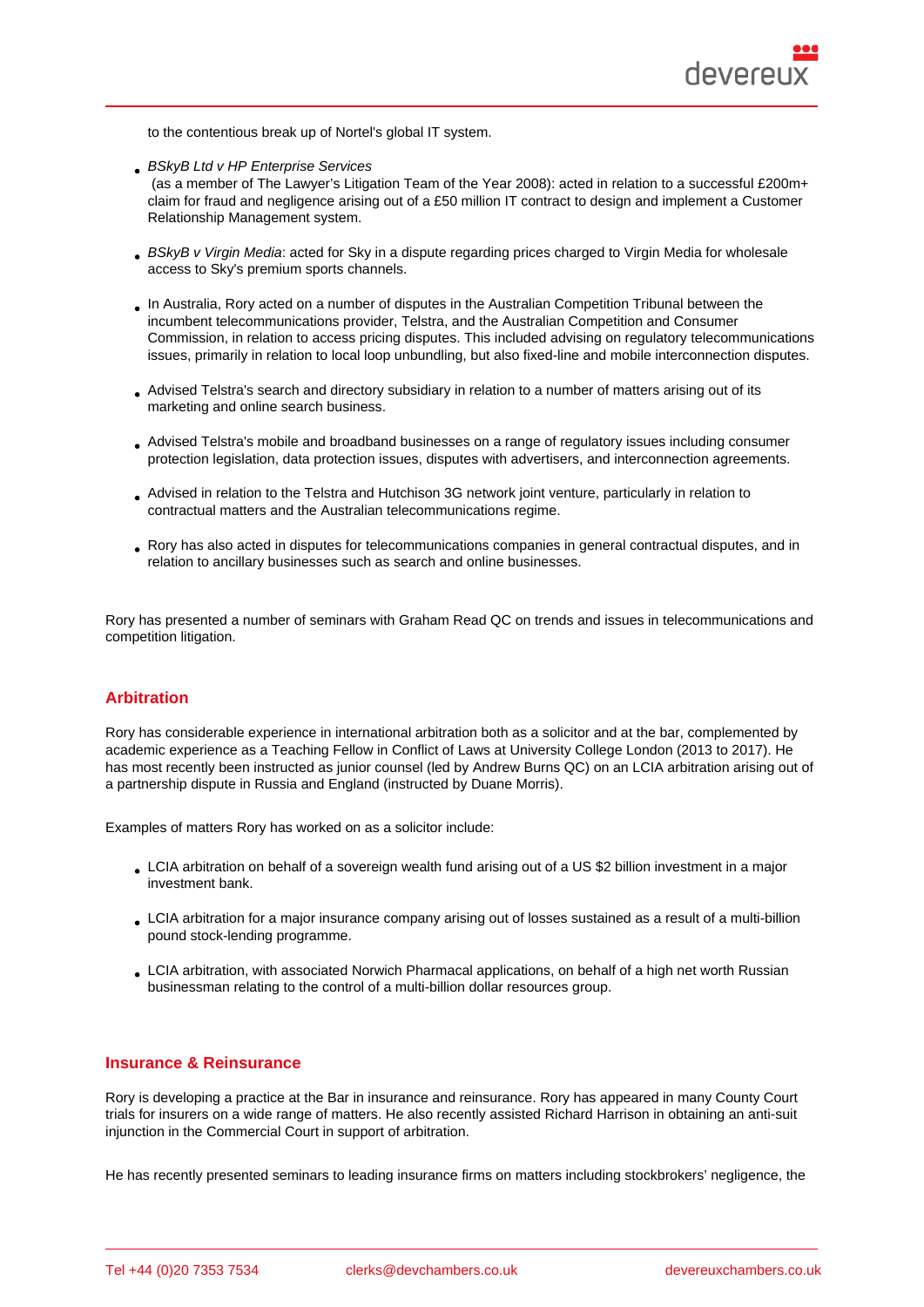to the contentious break up of Nortel's global IT system.

**BSkyB Ltd v HP Enterprise Services** 

 (as a member of The Lawyer's Litigation Team of the Year 2008): acted in relation to a successful £200m+ claim for fraud and negligence arising out of a £50 million IT contract to design and implement a Customer Relationship Management system.

- BSkyB v Virgin Media: acted for Sky in a dispute regarding prices charged to Virgin Media for wholesale access to Sky's premium sports channels.
- In Australia, Rory acted on a number of disputes in the Australian Competition Tribunal between the incumbent telecommunications provider, Telstra, and the Australian Competition and Consumer Commission, in relation to access pricing disputes. This included advising on regulatory telecommunications issues, primarily in relation to local loop unbundling, but also fixed-line and mobile interconnection disputes.
- Advised Telstra's search and directory subsidiary in relation to a number of matters arising out of its marketing and online search business.
- Advised Telstra's mobile and broadband businesses on a range of regulatory issues including consumer protection legislation, data protection issues, disputes with advertisers, and interconnection agreements.
- Advised in relation to the Telstra and Hutchison 3G network joint venture, particularly in relation to contractual matters and the Australian telecommunications regime.
- Rory has also acted in disputes for telecommunications companies in general contractual disputes, and in relation to ancillary businesses such as search and online businesses.

Rory has presented a number of seminars with Graham Read QC on trends and issues in telecommunications and competition litigation.

#### Arbitration

Rory has considerable experience in international arbitration both as a solicitor and at the bar, complemented by academic experience as a Teaching Fellow in Conflict of Laws at University College London (2013 to 2017). He has most recently been instructed as junior counsel (led by Andrew Burns QC) on an LCIA arbitration arising out of a partnership dispute in Russia and England (instructed by Duane Morris).

Examples of matters Rory has worked on as a solicitor include:

- LCIA arbitration on behalf of a sovereign wealth fund arising out of a US \$2 billion investment in a major investment bank.
- LCIA arbitration for a major insurance company arising out of losses sustained as a result of a multi-billion pound stock-lending programme.
- LCIA arbitration, with associated Norwich Pharmacal applications, on behalf of a high net worth Russian businessman relating to the control of a multi-billion dollar resources group.

#### Insurance & Reinsurance

Rory is developing a practice at the Bar in insurance and reinsurance. Rory has appeared in many County Court trials for insurers on a wide range of matters. He also recently assisted Richard Harrison in obtaining an anti-suit injunction in the Commercial Court in support of arbitration.

He has recently presented seminars to leading insurance firms on matters including stockbrokers' negligence, the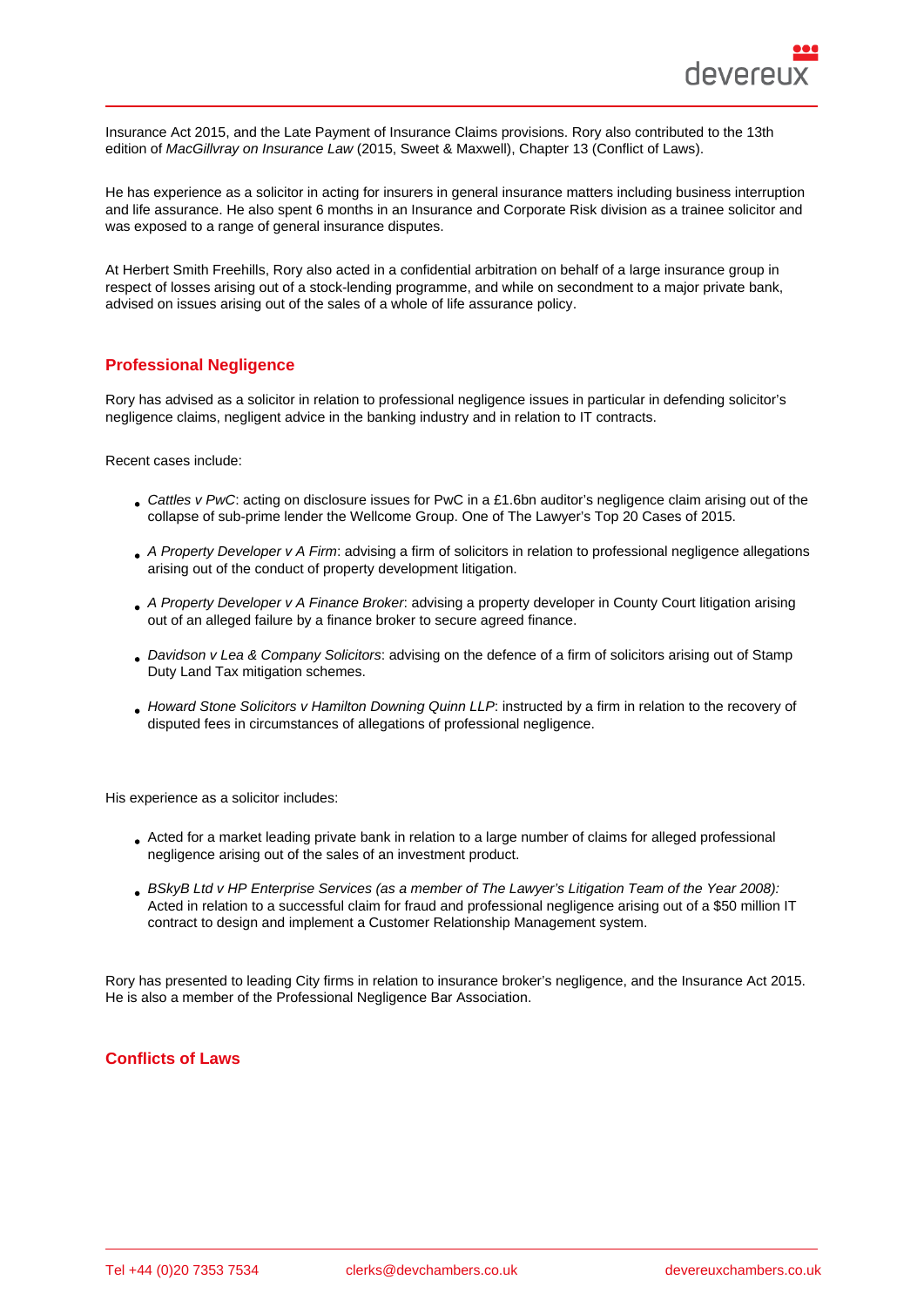Insurance Act 2015, and the Late Payment of Insurance Claims provisions. Rory also contributed to the 13th edition of MacGillvray on Insurance Law (2015, Sweet & Maxwell), Chapter 13 (Conflict of Laws).

He has experience as a solicitor in acting for insurers in general insurance matters including business interruption and life assurance. He also spent 6 months in an Insurance and Corporate Risk division as a trainee solicitor and was exposed to a range of general insurance disputes.

At Herbert Smith Freehills, Rory also acted in a confidential arbitration on behalf of a large insurance group in respect of losses arising out of a stock-lending programme, and while on secondment to a major private bank, advised on issues arising out of the sales of a whole of life assurance policy.

#### Professional Negligence

Rory has advised as a solicitor in relation to professional negligence issues in particular in defending solicitor's negligence claims, negligent advice in the banking industry and in relation to IT contracts.

Recent cases include:

- Cattles v PwC: acting on disclosure issues for PwC in a £1.6bn auditor's negligence claim arising out of the collapse of sub-prime lender the Wellcome Group. One of The Lawyer's Top 20 Cases of 2015.
- A Property Developer v A Firm: advising a firm of solicitors in relation to professional negligence allegations arising out of the conduct of property development litigation.
- A Property Developer v A Finance Broker: advising a property developer in County Court litigation arising out of an alleged failure by a finance broker to secure agreed finance.
- Davidson v Lea & Company Solicitors: advising on the defence of a firm of solicitors arising out of Stamp Duty Land Tax mitigation schemes.
- Howard Stone Solicitors v Hamilton Downing Quinn LLP: instructed by a firm in relation to the recovery of disputed fees in circumstances of allegations of professional negligence.

His experience as a solicitor includes:

- Acted for a market leading private bank in relation to a large number of claims for alleged professional negligence arising out of the sales of an investment product.
- BSkyB Ltd v HP Enterprise Services (as a member of The Lawyer's Litigation Team of the Year 2008): Acted in relation to a successful claim for fraud and professional negligence arising out of a \$50 million IT contract to design and implement a Customer Relationship Management system.

Rory has presented to leading City firms in relation to insurance broker's negligence, and the Insurance Act 2015. He is also a member of the Professional Negligence Bar Association.

#### Conflicts of Laws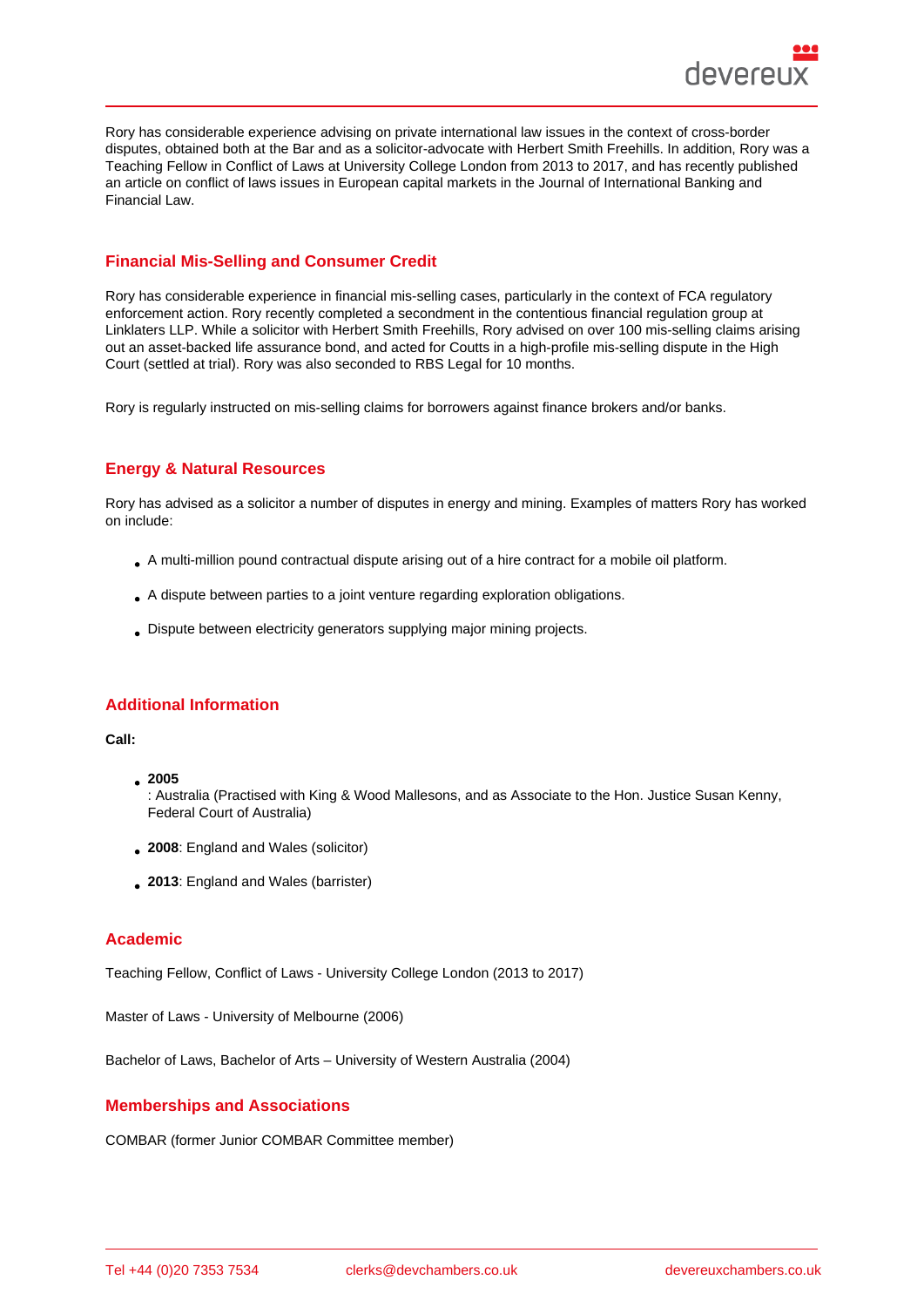Rory has considerable experience advising on private international law issues in the context of cross-border disputes, obtained both at the Bar and as a solicitor-advocate with Herbert Smith Freehills. In addition, Rory was a Teaching Fellow in Conflict of Laws at University College London from 2013 to 2017, and has recently published an article on conflict of laws issues in European capital markets in the Journal of International Banking and Financial Law.

## Financial Mis-Selling and Consumer Credit

Rory has considerable experience in financial mis-selling cases, particularly in the context of FCA regulatory enforcement action. Rory recently completed a secondment in the contentious financial regulation group at Linklaters LLP. While a solicitor with Herbert Smith Freehills, Rory advised on over 100 mis-selling claims arising out an asset-backed life assurance bond, and acted for Coutts in a high-profile mis-selling dispute in the High Court (settled at trial). Rory was also seconded to RBS Legal for 10 months.

Rory is regularly instructed on mis-selling claims for borrowers against finance brokers and/or banks.

### Energy & Natural Resources

Rory has advised as a solicitor a number of disputes in energy and mining. Examples of matters Rory has worked on include:

- A multi-million pound contractual dispute arising out of a hire contract for a mobile oil platform.
- A dispute between parties to a joint venture regarding exploration obligations.
- Dispute between electricity generators supplying major mining projects.

#### Additional Information

Call:

<sup>2005</sup>

: Australia (Practised with King & Wood Mallesons, and as Associate to the Hon. Justice Susan Kenny, Federal Court of Australia)

- 2008: England and Wales (solicitor)
- 2013: England and Wales (barrister)

## Academic

Teaching Fellow, Conflict of Laws - University College London (2013 to 2017)

Master of Laws - University of Melbourne (2006)

Bachelor of Laws, Bachelor of Arts – University of Western Australia (2004)

# Memberships and Associations

COMBAR (former Junior COMBAR Committee member)